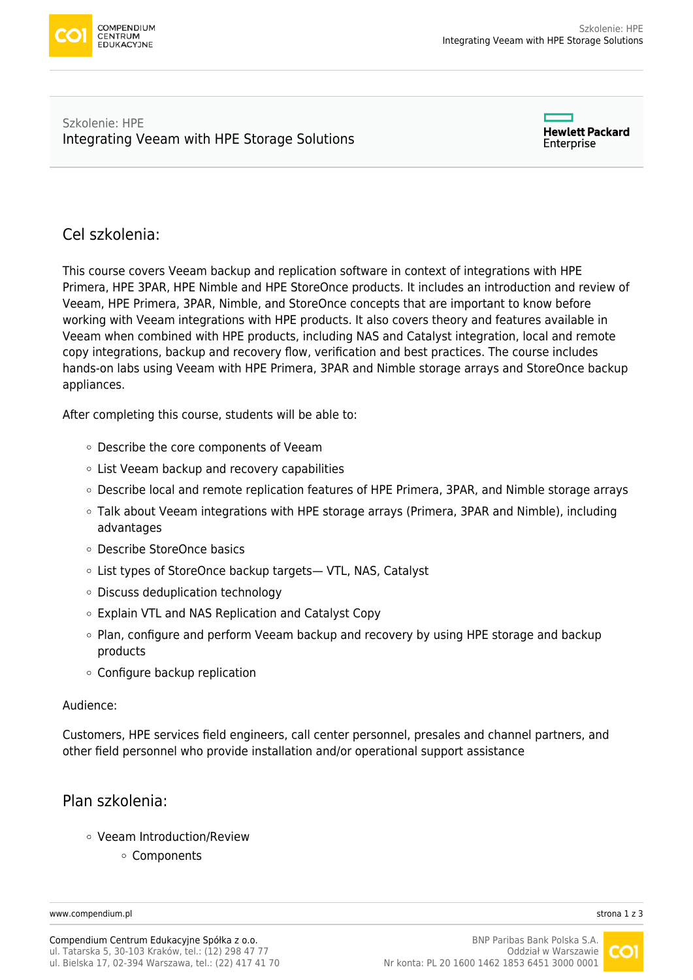

#### Szkolenie: HPE [Integrating Veeam with HPE Storage Solutions](https://www.compendium.pl/szkolenie/3883/szkolenie-autoryzowane-hpe-integrating-veeam-with-hpe-storage-solutions)

**Hewlett Packard** Enterprise

# Cel szkolenia:

This course covers Veeam backup and replication software in context of integrations with HPE Primera, HPE 3PAR, HPE Nimble and HPE StoreOnce products. It includes an introduction and review of Veeam, HPE Primera, 3PAR, Nimble, and StoreOnce concepts that are important to know before working with Veeam integrations with HPE products. It also covers theory and features available in Veeam when combined with HPE products, including NAS and Catalyst integration, local and remote copy integrations, backup and recovery flow, verification and best practices. The course includes hands-on labs using Veeam with HPE Primera, 3PAR and Nimble storage arrays and StoreOnce backup appliances.

After completing this course, students will be able to:

- Describe the core components of Veeam
- List Veeam backup and recovery capabilities
- Describe local and remote replication features of HPE Primera, 3PAR, and Nimble storage arrays
- Talk about Veeam integrations with HPE storage arrays (Primera, 3PAR and Nimble), including advantages
- Describe StoreOnce basics
- List types of StoreOnce backup targets— VTL, NAS, Catalyst
- Discuss deduplication technology
- Explain VTL and NAS Replication and Catalyst Copy
- $\circ$  Plan, configure and perform Veeam backup and recovery by using HPE storage and backup products
- Configure backup replication

#### Audience:

Customers, HPE services field engineers, call center personnel, presales and channel partners, and other field personnel who provide installation and/or operational support assistance

# Plan szkolenia:

- Veeam Introduction/Review
	- Components

[www.compendium.pl](https://www.compendium.pl/) strona 1 z 3

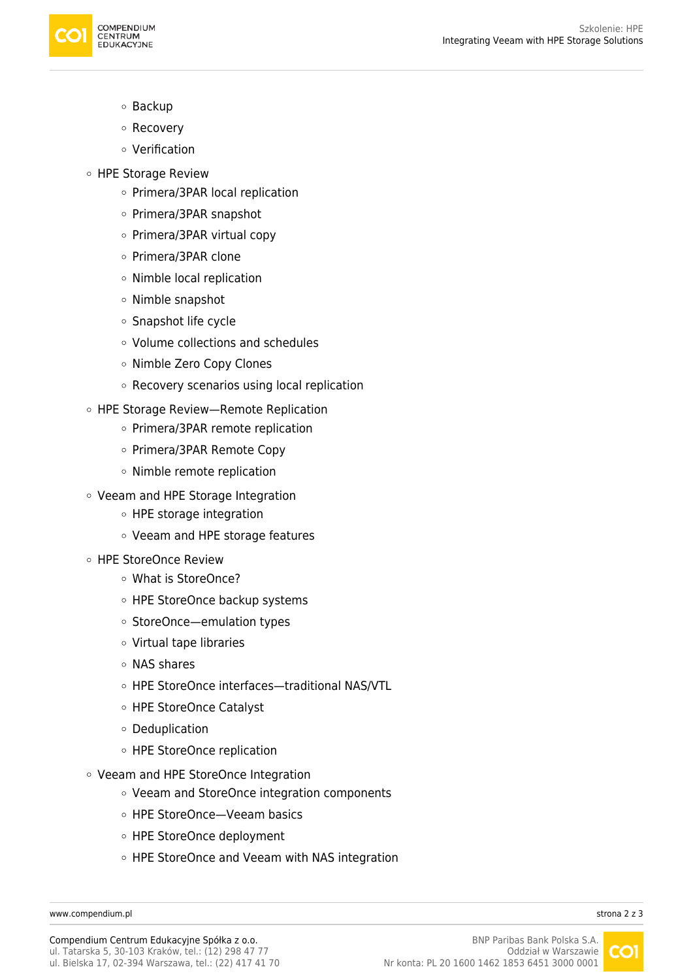

- o Backup
- Recovery
- Verification
- HPE Storage Review
	- Primera/3PAR local replication
	- Primera/3PAR snapshot
	- Primera/3PAR virtual copy
	- Primera/3PAR clone
	- Nimble local replication
	- Nimble snapshot
	- Snapshot life cycle
	- Volume collections and schedules
	- o Nimble Zero Copy Clones
	- Recovery scenarios using local replication
- HPE Storage Review—Remote Replication
	- o Primera/3PAR remote replication
	- Primera/3PAR Remote Copy
	- Nimble remote replication
- Veeam and HPE Storage Integration
	- HPE storage integration
	- Veeam and HPE storage features
- HPE StoreOnce Review
	- What is StoreOnce?
	- HPE StoreOnce backup systems
	- StoreOnce—emulation types
	- Virtual tape libraries
	- NAS shares
	- HPE StoreOnce interfaces—traditional NAS/VTL
	- HPE StoreOnce Catalyst
	- Deduplication
	- HPE StoreOnce replication
- Veeam and HPE StoreOnce Integration
	- Veeam and StoreOnce integration components
	- HPE StoreOnce—Veeam basics
	- HPE StoreOnce deployment
	- HPE StoreOnce and Veeam with NAS integration

[www.compendium.pl](https://www.compendium.pl/) strona 2 z 3